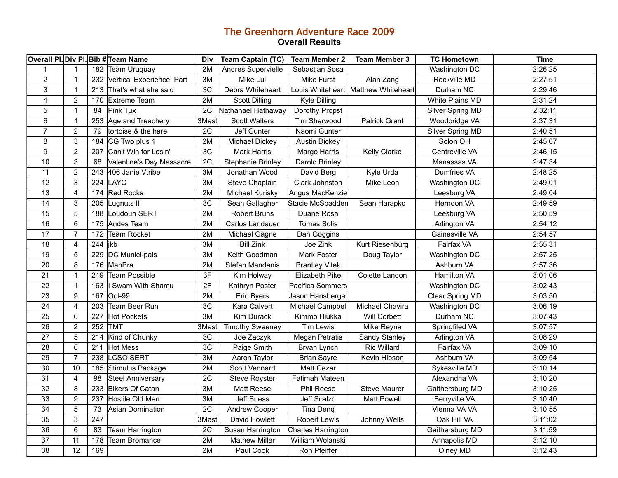## **The Greenhorn Adventure Race 2009 Overall Results**

|                         |                         |     | Overall PI. Div PI. Bib # Team Name | <b>Div</b> | <b>Team Captain (TC)</b> | <b>Team Member 2</b>  | <b>Team Member 3</b>                | <b>TC Hometown</b> | <b>Time</b> |
|-------------------------|-------------------------|-----|-------------------------------------|------------|--------------------------|-----------------------|-------------------------------------|--------------------|-------------|
| $\mathbf{1}$            | $\mathbf 1$             | 182 | Team Uruguay                        | 2M         | Andres Supervielle       | Sebastian Sosa        |                                     | Washington DC      | 2:26:25     |
| $\overline{2}$          | $\overline{1}$          | 232 | Vertical Experience! Part           | 3M         | Mike Lui                 | <b>Mike Furst</b>     | Alan Zang                           | Rockville MD       | 2:27:51     |
| $\sqrt{3}$              | $\mathbf{1}$            | 213 | That's what she said                | 3C         | Debra Whiteheart         |                       | Louis Whiteheart Matthew Whiteheart | Durham NC          | 2:29:46     |
| $\overline{\mathbf{4}}$ | $\overline{2}$          | 170 | <b>Extreme Team</b>                 | 2M         | <b>Scott Dilling</b>     | Kyle Dilling          |                                     | White Plains MD    | 2:31:24     |
| $\mathbf 5$             | $\mathbf{1}$            | 84  | <b>Pink Tux</b>                     | 2C         | Nathanael Hathaway       | Dorothy Propst        |                                     | Silver Spring MD   | 2:32:11     |
| $\,6\,$                 | $\overline{1}$          | 253 | Age and Treachery                   | 3Mast      | <b>Scott Walters</b>     | Tim Sherwood          | <b>Patrick Grant</b>                | Woodbridge VA      | 2:37:31     |
| $\overline{7}$          | $\overline{2}$          | 79  | tortoise & the hare                 | 2C         | Jeff Gunter              | Naomi Gunter          |                                     | Silver Spring MD   | 2:40:51     |
| 8                       | 3                       | 184 | CG Two plus 1                       | 2M         | Michael Dickey           | <b>Austin Dickey</b>  |                                     | Solon OH           | 2:45:07     |
| $\boldsymbol{9}$        | $\overline{2}$          | 207 | Can't Win for Losin'                | 3C         | <b>Mark Harris</b>       | Margo Harris          | Kelly Clarke                        | Centreville VA     | 2:46:15     |
| $\overline{10}$         | $\sqrt{3}$              | 68  | Valentine's Day Massacre            | 2C         | <b>Stephanie Brinley</b> | Darold Brinley        |                                     | Manassas VA        | 2:47:34     |
| 11                      | $\overline{2}$          | 243 | 406 Janie Vtribe                    | 3M         | Jonathan Wood            | David Berg            | Kyle Urda                           | Dumfries VA        | 2:48:25     |
| $\overline{12}$         | 3                       | 224 | LAYC                                | 3M         | Steve Chaplain           | Clark Johnston        | Mike Leon                           | Washington DC      | 2:49:01     |
| 13                      | $\overline{\mathbf{4}}$ | 174 | <b>Red Rocks</b>                    | 2M         | Michael Kurisky          | Angus MacKenzie       |                                     | Leesburg VA        | 2:49:04     |
| 14                      | 3                       | 205 | Lugnuts II                          | 3C         | Sean Gallagher           | Stacie McSpadden      | Sean Harapko                        | Herndon VA         | 2:49:59     |
| 15                      | 5                       | 188 | Loudoun SERT                        | 2M         | <b>Robert Bruns</b>      | Duane Rosa            |                                     | Leesburg VA        | 2:50:59     |
| 16                      | 6                       | 175 | Andes Team                          | 2M         | Carlos Landauer          | <b>Tomas Solis</b>    |                                     | Arlington VA       | 2:54:12     |
| 17                      | $\overline{7}$          | 172 | <b>Team Rocket</b>                  | 2M         | Michael Gagne            | Dan Goggins           |                                     | Gainesville VA     | 2:54:57     |
| 18                      | $\overline{\mathbf{4}}$ | 244 | jkb                                 | 3M         | <b>Bill Zink</b>         | Joe Zink              | Kurt Riesenburg                     | Fairfax VA         | 2:55:31     |
| 19                      | 5                       | 229 | DC Munici-pals                      | 3M         | Keith Goodman            | Mark Foster           | Doug Taylor                         | Washington DC      | 2:57:25     |
| 20                      | 8                       | 176 | ManBra                              | 2M         | Stefan Mandanis          | <b>Brantley Vitek</b> |                                     | Ashburn VA         | 2:57:36     |
| 21                      | $\mathbf{1}$            | 219 | <b>Team Possible</b>                | 3F         | Kim Holway               | Elizabeth Pike        | Colette Landon                      | Hamilton VA        | 3:01:06     |
| $\overline{22}$         | $\mathbf{1}$            | 163 | Swam With Shamu                     | 2F         | Kathryn Poster           | Pacifica Sommers      |                                     | Washington DC      | 3:02:43     |
| $\overline{23}$         | 9                       | 167 | Oct-99                              | 2M         | <b>Eric Byers</b>        | Jason Hansberger      |                                     | Clear Spring MD    | 3:03:50     |
| $\overline{24}$         | 4                       | 203 | Team Beer Run                       | 3C         | Kara Calvert             | Michael Campbel       | Michael Chavira                     | Washington DC      | 3:06:19     |
| $\overline{25}$         | 6                       | 227 | <b>Hot Pockets</b>                  | 3M         | Kim Durack               | Kimmo Hiukka          | <b>Will Corbett</b>                 | Durham NC          | 3:07:43     |
| 26                      | $\overline{2}$          | 252 | <b>TMT</b>                          | 3Mast      | <b>Timothy Sweeney</b>   | <b>Tim Lewis</b>      | Mike Reyna                          | Springfiled VA     | 3:07:57     |
| 27                      | 5                       | 214 | Kind of Chunky                      | 3C         | Joe Zaczyk               | <b>Megan Petratis</b> | Sandy Stanley                       | Arlington VA       | 3:08:29     |
| 28                      | 6                       | 211 | <b>Hot Mess</b>                     | 3C         | Paige Smith              | Bryan Lynch           | <b>Ric Willard</b>                  | Fairfax VA         | 3:09:10     |
| 29                      | $\overline{7}$          | 238 | <b>LCSO SERT</b>                    | 3M         | Aaron Taylor             | <b>Brian Sayre</b>    | Kevin Hibson                        | Ashburn VA         | 3:09:54     |
| 30                      | 10                      | 185 | Stimulus Package                    | 2M         | Scott Vennard            | Matt Cezar            |                                     | Sykesville MD      | 3:10:14     |
| 31                      | $\overline{\mathbf{4}}$ | 98  | <b>Steel Anniversary</b>            | 2C         | Steve Royster            | Fatimah Mateen        |                                     | Alexandria VA      | 3:10:20     |
| 32                      | 8                       | 233 | <b>Bikers Of Catan</b>              | 3M         | <b>Matt Reese</b>        | Phil Reese            | <b>Steve Maurer</b>                 | Gaithersburg MD    | 3:10:25     |
| 33                      | $\boldsymbol{9}$        | 237 | Hostile Old Men                     | 3M         | <b>Jeff Suess</b>        | Jeff Scalzo           | <b>Matt Powell</b>                  | Berryville VA      | 3:10:40     |
| 34                      | 5                       | 73  | Asian Domination                    | 2C         | Andrew Cooper            | Tina Denq             |                                     | Vienna VA VA       | 3:10:55     |
| 35                      | $\sqrt{3}$              | 247 |                                     | 3Mast      | David Howlett            | <b>Robert Lewis</b>   | Johnny Wells                        | Oak Hill VA        | 3:11:02     |
| 36                      | 6                       | 83  | Team Harrington                     | 2C         | Susan Harrington         | Charles Harrington    |                                     | Gaithersburg MD    | 3:11:59     |
| 37                      | 11                      | 178 | <b>Team Bromance</b>                | 2M         | <b>Mathew Miller</b>     | William Wolanski      |                                     | Annapolis MD       | 3:12:10     |
| $\overline{38}$         | $\overline{12}$         | 169 |                                     | 2M         | Paul Cook                | Ron Pfeiffer          |                                     | Olney MD           | 3:12:43     |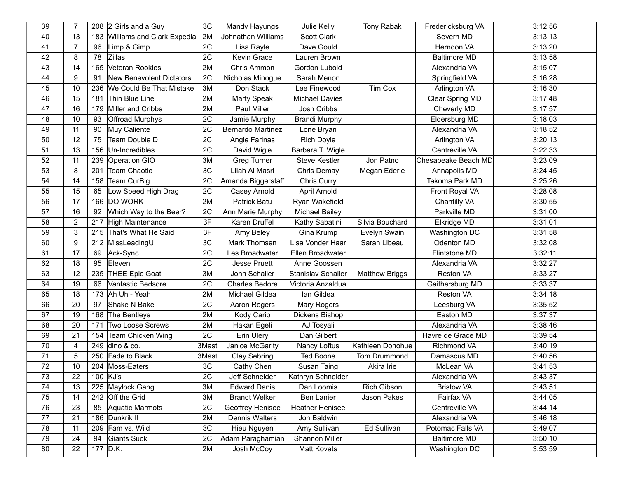| 39 | $\overline{7}$ |     | 208 2 Girls and a Guy           | 3C    | Mandy Hayungs         | Julie Kelly            | Tony Rabak            | Fredericksburg VA   | 3:12:56 |
|----|----------------|-----|---------------------------------|-------|-----------------------|------------------------|-----------------------|---------------------|---------|
| 40 | 13             | 183 | Williams and Clark Expedia      | 2M    | Johnathan Williams    | <b>Scott Clark</b>     |                       | Severn MD           | 3:13:13 |
| 41 | $\overline{7}$ | 96  | Limp & Gimp                     | 2C    | Lisa Rayle            | Dave Gould             |                       | Herndon VA          | 3:13:20 |
| 42 | 8              | 78  | Zillas                          | 2C    | Kevin Grace           | Lauren Brown           |                       | <b>Baltimore MD</b> | 3:13:58 |
| 43 | 14             | 165 | Veteran Rookies                 | 2M    | Chris Ammon           | Gordon Lubold          |                       | Alexandria VA       | 3:15:07 |
| 44 | 9              | 91  | <b>New Benevolent Dictators</b> | 2C    | Nicholas Minogue      | Sarah Menon            |                       | Springfield VA      | 3:16:28 |
| 45 | 10             | 236 | We Could Be That Mistake        | 3M    | Don Stack             | Lee Finewood           | Tim Cox               | Arlington VA        | 3:16:30 |
| 46 | 15             | 181 | Thin Blue Line                  | 2M    | <b>Marty Speak</b>    | <b>Michael Davies</b>  |                       | Clear Spring MD     | 3:17:48 |
| 47 | 16             | 179 | Miller and Cribbs               | 2M    | <b>Paul Miller</b>    | Josh Cribbs            |                       | Cheverly MD         | 3:17:57 |
| 48 | 10             | 93  | <b>Offroad Murphys</b>          | 2C    | Jamie Murphy          | <b>Brandi Murphy</b>   |                       | Eldersburg MD       | 3:18:03 |
| 49 | 11             | 90  | Muy Caliente                    | 2C    | Bernardo Martinez     | Lone Bryan             |                       | Alexandria VA       | 3:18:52 |
| 50 | 12             | 75  | Team Double D                   | 2C    | Angie Farinas         | Rich Doyle             |                       | Arlington VA        | 3:20:13 |
| 51 | 13             | 156 | Un-Incredibles                  | 2C    | David Wigle           | Barbara T. Wigle       |                       | Centreville VA      | 3:22:33 |
| 52 | 11             | 239 | Operation GIO                   | 3M    | Greg Turner           | <b>Steve Kestler</b>   | Jon Patno             | Chesapeake Beach MD | 3:23:09 |
| 53 | 8              | 201 | <b>Team Chaotic</b>             | 3C    | Lilah Al Masri        | Chris Demay            | Megan Ederle          | Annapolis MD        | 3:24:45 |
| 54 | 14             | 158 | Team CurBig                     | 2C    | Amanda Biggerstaff    | Chris Curry            |                       | Takoma Park MD      | 3:25:26 |
| 55 | 15             | 65  | Low Speed High Drag             | 2C    | Casey Arnold          | April Arnold           |                       | Front Royal VA      | 3:28:08 |
| 56 | 17             | 166 | <b>DO WORK</b>                  | 2M    | Patrick Batu          | Ryan Wakefield         |                       | Chantilly VA        | 3:30:55 |
| 57 | 16             | 92  | Which Way to the Beer?          | 2C    | Ann Marie Murphy      | <b>Michael Bailey</b>  |                       | Parkville MD        | 3:31:00 |
| 58 | $\overline{2}$ | 217 | <b>High Maintenance</b>         | 3F    | Karen Druffel         | Kathy Sabatini         | Silvia Bouchard       | Elkridge MD         | 3:31:01 |
| 59 | 3              |     | 215 That's What He Said         | 3F    | Amy Beley             | Gina Krump             | Evelyn Swain          | Washington DC       | 3:31:58 |
| 60 | 9              | 212 | MissLeadingU                    | 3C    | Mark Thomsen          | Lisa Vonder Haar       | Sarah Libeau          | Odenton MD          | 3:32:08 |
| 61 | 17             | 69  | Ack-Sync                        | 2C    | Les Broadwater        | Ellen Broadwater       |                       | Flintstone MD       | 3:32:11 |
| 62 | 18             | 95  | Eleven                          | 2C    | <b>Jesse Pruett</b>   | Anne Goossen           |                       | Alexandria VA       | 3:32:27 |
| 63 | 12             |     | 235 THEE Epic Goat              | 3M    | John Schaller         | Stanislav Schaller     | <b>Matthew Briggs</b> | Reston VA           | 3:33:27 |
| 64 | 19             | 66  | Vantastic Bedsore               | 2C    | <b>Charles Bedore</b> | Victoria Anzaldua      |                       | Gaithersburg MD     | 3:33:37 |
| 65 | 18             | 173 | Ah Uh - Yeah                    | 2M    | Michael Gildea        | lan Gildea             |                       | Reston VA           | 3:34:18 |
| 66 | 20             | 97  | Shake N Bake                    | 2C    | Aaron Rogers          | Mary Rogers            |                       | Leesburg VA         | 3:35:52 |
| 67 | 19             | 168 | The Bentleys                    | 2M    | Kody Cario            | Dickens Bishop         |                       | Easton MD           | 3:37:37 |
| 68 | 20             | 171 | Two Loose Screws                | 2M    | Hakan Egeli           | AJ Tosyali             |                       | Alexandria VA       | 3:38:46 |
| 69 | 21             | 154 | Team Chicken Wing               | 2C    | Erin Ulery            | Dan Gilbert            |                       | Havre de Grace MD   | 3:39:54 |
| 70 | 4              | 249 | dino & co.                      | 3Mast | Janice McGarity       | Nancy Loftus           | Kathleen Donohue      | <b>Richmond VA</b>  | 3:40:19 |
| 71 | 5              | 250 | Fade to Black                   | 3Mast | <b>Clay Sebring</b>   | <b>Ted Boone</b>       | Tom Drummond          | Damascus MD         | 3:40:56 |
| 72 | 10             |     | 204 Moss-Eaters                 | 3C    | Cathy Chen            | Susan Taing            | Akira Irie            | McLean VA           | 3:41:53 |
| 73 | 22             |     | $100$ KJ's                      | 2C    | Jeff Schneider        | Kathryn Schneider      |                       | Alexandria VA       | 3:43:37 |
| 74 | 13             |     | 225 Maylock Gang                | 3M    | <b>Edward Danis</b>   | Dan Loomis             | Rich Gibson           | <b>Bristow VA</b>   | 3:43:51 |
| 75 | 14             | 242 | Off the Grid                    | 3M    | <b>Brandt Welker</b>  | <b>Ben Lanier</b>      | Jason Pakes           | Fairfax VA          | 3:44:05 |
| 76 | 23             | 85  | Aquatic Marmots                 | 2C    | Geoffrey Henisee      | <b>Heather Henisee</b> |                       | Centreville VA      | 3:44:14 |
| 77 | 21             | 186 | Dunkrik II                      | 2M    | Dennis Walters        | Jon Baldwin            |                       | Alexandria VA       | 3:46:18 |
| 78 | 11             | 209 | Fam vs. Wild                    | 3C    | Hieu Nguyen           | Amy Sullivan           | Ed Sullivan           | Potomac Falls VA    | 3:49:07 |
| 79 | 24             | 94  | <b>Giants Suck</b>              | 2C    | Adam Paraghamian      | Shannon Miller         |                       | <b>Baltimore MD</b> | 3:50:10 |
| 80 | 22             |     | 177 D.K.                        | 2M    | Josh McCoy            | <b>Matt Kovats</b>     |                       | Washington DC       | 3:53:59 |